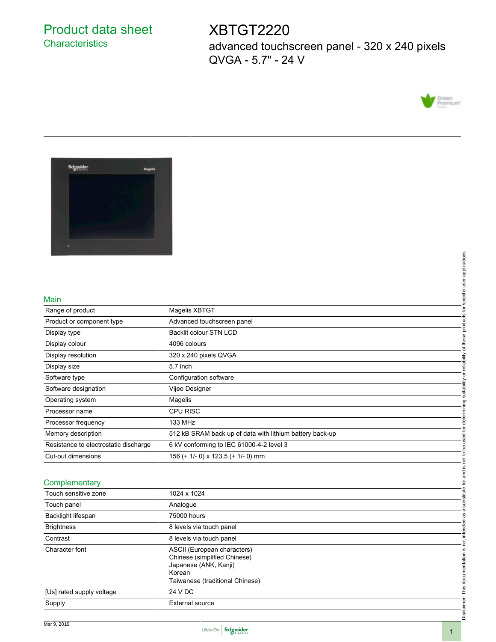## Product data sheet **Characteristics**

# XBTGT2220

advanced touchscreen panel - 320 x 240 pixels QVGA - 5.7" - 24 V





#### Main

|                                       | applications                                             |  |  |  |
|---------------------------------------|----------------------------------------------------------|--|--|--|
|                                       |                                                          |  |  |  |
|                                       |                                                          |  |  |  |
| Main                                  | specific user                                            |  |  |  |
| Range of product                      | Magelis XBTGT                                            |  |  |  |
| Product or component type             | Advanced touchscreen panel                               |  |  |  |
| Display type                          | products<br>Backlit colour STN LCD                       |  |  |  |
| Display colour                        | of these<br>4096 colours                                 |  |  |  |
| Display resolution                    | 320 x 240 pixels QVGA                                    |  |  |  |
| Display size                          | or reliability<br>5.7 inch                               |  |  |  |
| Software type                         | Configuration software                                   |  |  |  |
| Software designation                  | suitability<br>Vijeo Designer                            |  |  |  |
| Operating system                      | Magelis                                                  |  |  |  |
| Processor name                        | determining<br><b>CPU RISC</b>                           |  |  |  |
| Processor frequency                   | 133 MHz<br>used for                                      |  |  |  |
| Memory description                    | 512 kB SRAM back up of data with lithium battery back-up |  |  |  |
| Resistance to electrostatic discharge | 6 kV conforming to IEC 61000-4-2 level 3                 |  |  |  |
| Cut-out dimensions                    | 156 (+ 1/- 0) x 123.5 (+ 1/- 0) mm                       |  |  |  |
|                                       | is not to                                                |  |  |  |
| Complementary                         | and<br>ð                                                 |  |  |  |
| Touch sensitive zone                  | 1024 x 1024                                              |  |  |  |
| Touch panel                           | substitute<br>Analogue                                   |  |  |  |
| Backlight lifespan                    | . ത<br>æ<br>75000 hours                                  |  |  |  |
| <b>Brightness</b>                     | not intended<br>8 levels via touch panel                 |  |  |  |
| Contrast                              | 8 levels via touch panel                                 |  |  |  |
| Character font                        | ASCII (European characters)                              |  |  |  |
|                                       | Chinese (simplified Chinese)                             |  |  |  |
|                                       | Japanese (ANK, Kanji)<br>Korean                          |  |  |  |
|                                       | Taiwanese (traditional Chinese)                          |  |  |  |
| [Us] rated supply voltage             | 24 V DC                                                  |  |  |  |
| Supply                                | <b>External source</b>                                   |  |  |  |
|                                       | Disclaimer: This documentation is                        |  |  |  |

### **Complementary**

| Main                                                     |                                                          | specific user applications                      |  |  |
|----------------------------------------------------------|----------------------------------------------------------|-------------------------------------------------|--|--|
| Range of product                                         | Magelis XBTGT                                            |                                                 |  |  |
| Product or component type                                | Advanced touchscreen panel                               |                                                 |  |  |
| Display type                                             | <b>Backlit colour STN LCD</b>                            |                                                 |  |  |
| Display colour                                           | 4096 colours                                             |                                                 |  |  |
| Display resolution                                       | 320 x 240 pixels QVGA                                    |                                                 |  |  |
| Display size                                             | 5.7 inch                                                 |                                                 |  |  |
| Software type                                            | Configuration software                                   |                                                 |  |  |
| Software designation                                     | Vijeo Designer                                           | determining suitability or reliability of these |  |  |
| Operating system                                         | Magelis                                                  |                                                 |  |  |
| Processor name                                           | <b>CPU RISC</b>                                          |                                                 |  |  |
| Processor frequency                                      | 133 MHz                                                  |                                                 |  |  |
| Memory description                                       | 512 kB SRAM back up of data with lithium battery back-up |                                                 |  |  |
| Resistance to electrostatic discharge                    | 6 kV conforming to IEC 61000-4-2 level 3                 |                                                 |  |  |
| Cut-out dimensions<br>156 (+ 1/- 0) x 123.5 (+ 1/- 0) mm |                                                          | a substitute for and is not to be used for      |  |  |
|                                                          |                                                          |                                                 |  |  |
| Complementary                                            |                                                          |                                                 |  |  |
| Touch sensitive zone                                     | 1024 x 1024                                              |                                                 |  |  |
| Touch panel                                              |                                                          |                                                 |  |  |
| Backlight lifespan                                       | Analogue                                                 |                                                 |  |  |
|                                                          | 75000 hours                                              |                                                 |  |  |
| <b>Brightness</b>                                        | 8 levels via touch panel                                 |                                                 |  |  |
| Contrast                                                 | 8 levels via touch panel                                 |                                                 |  |  |
| Character font                                           | ASCII (European characters)                              |                                                 |  |  |
|                                                          | Chinese (simplified Chinese)<br>Japanese (ANK, Kanji)    |                                                 |  |  |
|                                                          | Korean                                                   |                                                 |  |  |
|                                                          | Taiwanese (traditional Chinese)                          |                                                 |  |  |
| [Us] rated supply voltage                                | 24 V DC                                                  | Disclaimer: This documentation is not intended  |  |  |
| Supply                                                   |                                                          |                                                 |  |  |
|                                                          | <b>External source</b>                                   |                                                 |  |  |

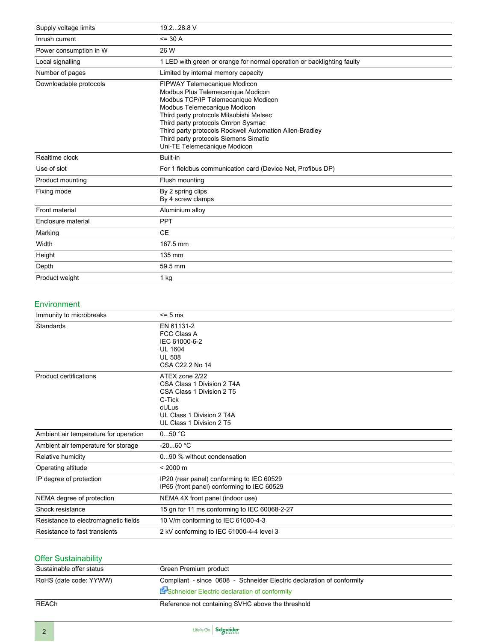| Supply voltage limits  | 19.228.8 V                                                                                                                                                                                                                                                                                                                                                    |  |  |
|------------------------|---------------------------------------------------------------------------------------------------------------------------------------------------------------------------------------------------------------------------------------------------------------------------------------------------------------------------------------------------------------|--|--|
| Inrush current         | $= 30 A$                                                                                                                                                                                                                                                                                                                                                      |  |  |
| Power consumption in W | 26 W                                                                                                                                                                                                                                                                                                                                                          |  |  |
| Local signalling       | 1 LED with green or orange for normal operation or backlighting faulty                                                                                                                                                                                                                                                                                        |  |  |
| Number of pages        | Limited by internal memory capacity                                                                                                                                                                                                                                                                                                                           |  |  |
| Downloadable protocols | FIPWAY Telemecanique Modicon<br>Modbus Plus Telemecanique Modicon<br>Modbus TCP/IP Telemecanique Modicon<br>Modbus Telemecanique Modicon<br>Third party protocols Mitsubishi Melsec<br>Third party protocols Omron Sysmac<br>Third party protocols Rockwell Automation Allen-Bradley<br>Third party protocols Siemens Simatic<br>Uni-TE Telemecanique Modicon |  |  |
|                        | Built-in                                                                                                                                                                                                                                                                                                                                                      |  |  |
| Realtime clock         |                                                                                                                                                                                                                                                                                                                                                               |  |  |
| Use of slot            | For 1 fieldbus communication card (Device Net, Profibus DP)                                                                                                                                                                                                                                                                                                   |  |  |
| Product mounting       | Flush mounting                                                                                                                                                                                                                                                                                                                                                |  |  |
| Fixing mode            | By 2 spring clips<br>By 4 screw clamps                                                                                                                                                                                                                                                                                                                        |  |  |
| Front material         | Aluminium alloy                                                                                                                                                                                                                                                                                                                                               |  |  |
| Enclosure material     | <b>PPT</b>                                                                                                                                                                                                                                                                                                                                                    |  |  |
| Marking                | <b>CE</b>                                                                                                                                                                                                                                                                                                                                                     |  |  |
| Width                  | 167.5 mm                                                                                                                                                                                                                                                                                                                                                      |  |  |
| Height                 | 135 mm                                                                                                                                                                                                                                                                                                                                                        |  |  |
| Depth                  | 59.5 mm                                                                                                                                                                                                                                                                                                                                                       |  |  |

## Environment

| Immunity to microbreaks               | $\leq$ 5 ms                                                                                                                                           |  |
|---------------------------------------|-------------------------------------------------------------------------------------------------------------------------------------------------------|--|
| Standards                             | EN 61131-2<br><b>FCC Class A</b><br>IEC 61000-6-2<br><b>UL 1604</b><br><b>UL 508</b><br>CSA C22.2 No 14                                               |  |
| Product certifications                | ATEX zone 2/22<br>CSA Class 1 Division 2 T4A<br>CSA Class 1 Division 2 T5<br>C-Tick<br>cULus<br>UL Class 1 Division 2 T4A<br>UL Class 1 Division 2 T5 |  |
| Ambient air temperature for operation | $050$ °C                                                                                                                                              |  |
| Ambient air temperature for storage   | $-2060 °C$                                                                                                                                            |  |
| Relative humidity                     | 090 % without condensation                                                                                                                            |  |
| Operating altitude                    | $< 2000 \text{ m}$                                                                                                                                    |  |
| IP degree of protection               | IP20 (rear panel) conforming to IEC 60529<br>IP65 (front panel) conforming to IEC 60529                                                               |  |
| NEMA degree of protection             | NEMA 4X front panel (indoor use)                                                                                                                      |  |
| Shock resistance                      | 15 gn for 11 ms conforming to IEC 60068-2-27                                                                                                          |  |
| Resistance to electromagnetic fields  | 10 V/m conforming to IEC 61000-4-3                                                                                                                    |  |
| Resistance to fast transients         | 2 kV conforming to IEC 61000-4-4 level 3                                                                                                              |  |

### Offer Sustainability

| Sustainable offer status | Green Premium product                                                                                                           |  |
|--------------------------|---------------------------------------------------------------------------------------------------------------------------------|--|
| RoHS (date code: YYWW)   | Compliant - since 0608 - Schneider Electric declaration of conformity<br><b>En Schneider Electric declaration of conformity</b> |  |
| REACh                    | Reference not containing SVHC above the threshold                                                                               |  |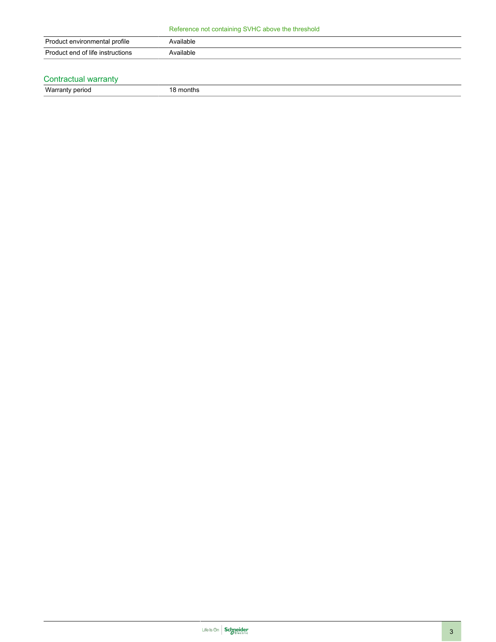| Product environmental profile    | Available |
|----------------------------------|-----------|
| Product end of life instructions | Available |
|                                  |           |

### Contractual warranty

Warranty period 18 months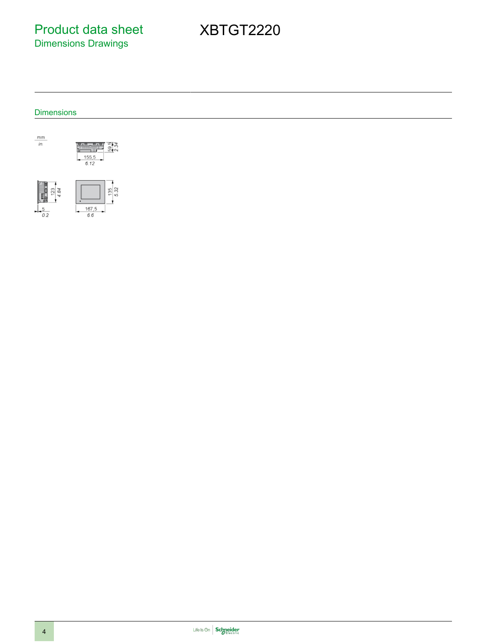Product data sheet Dimensions Drawings

XBTGT2220

### **Dimensions**





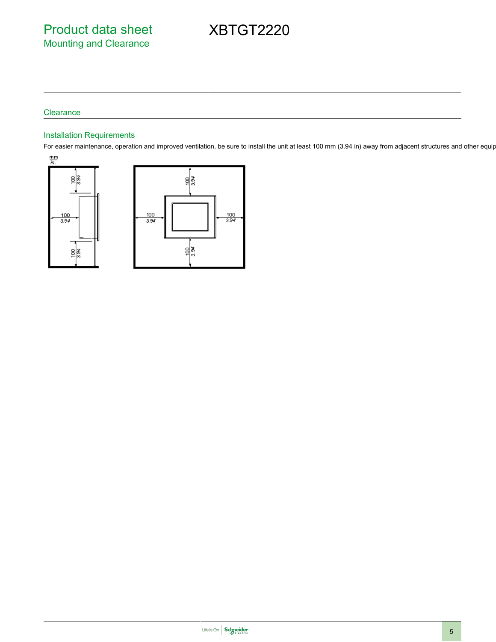# XBTGT2220

#### **Clearance**

### Installation Requirements

For easier maintenance, operation and improved ventilation, be sure to install the unit at least 100 mm (3.94 in) away from adjacent structures and other equip



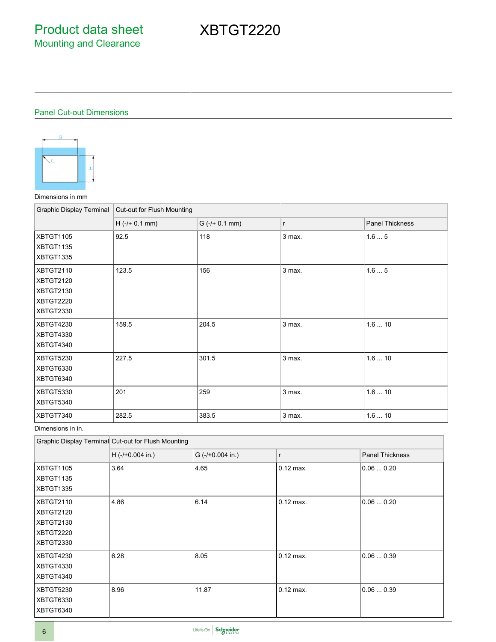# Panel Cut-out Dimensions



### Dimensions in mm

| <b>Graphic Display Terminal</b>                                                    | Cut-out for Flush Mounting |                  |              |                        |
|------------------------------------------------------------------------------------|----------------------------|------------------|--------------|------------------------|
|                                                                                    | $H$ (-/+ 0.1 mm)           | $G$ (-/+ 0.1 mm) | $\mathsf{r}$ | <b>Panel Thickness</b> |
| <b>XBTGT1105</b><br>XBTGT1135<br>XBTGT1335                                         | 92.5                       | 118              | 3 max.       | 1.65                   |
| <b>XBTGT2110</b><br><b>XBTGT2120</b><br><b>XBTGT2130</b><br>XBTGT2220<br>XBTGT2330 | 123.5                      | 156              | 3 max.       | 1.65                   |
| <b>XBTGT4230</b><br><b>XBTGT4330</b><br><b>XBTGT4340</b>                           | 159.5                      | 204.5            | 3 max.       | 1.610                  |
| <b>XBTGT5230</b><br>XBTGT6330<br>XBTGT6340                                         | 227.5                      | 301.5            | 3 max.       | 1.610                  |
| XBTGT5330<br>XBTGT5340                                                             | 201                        | 259              | 3 max.       | 1.610                  |
| XBTGT7340                                                                          | 282.5                      | 383.5            | 3 max.       | 1.610                  |

Dimensions in in.

|                                                               | Graphic Display Terminal Cut-out for Flush Mounting |                    |             |                        |
|---------------------------------------------------------------|-----------------------------------------------------|--------------------|-------------|------------------------|
|                                                               | $H$ (-/+0.004 in.)                                  | $G$ (-/+0.004 in.) | r           | <b>Panel Thickness</b> |
| <b>XBTGT1105</b><br>XBTGT1135<br>XBTGT1335                    | 3.64                                                | 4.65               | $0.12$ max. | 0.060.20               |
| XBTGT2110<br>XBTGT2120<br>XBTGT2130<br>XBTGT2220<br>XBTGT2330 | 4.86                                                | 6.14               | $0.12$ max. | 0.060.20               |
| XBTGT4230<br>XBTGT4330<br>XBTGT4340                           | 6.28                                                | 8.05               | $0.12$ max. | 0.060.39               |
| XBTGT5230<br>XBTGT6330<br>XBTGT6340                           | 8.96                                                | 11.87              | $0.12$ max. | 0.060.39               |